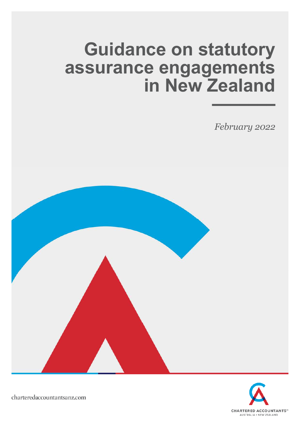# **Guidance on statutory assurance engagements in New Zealand** –––––––

*February 2022*





charteredaccountantsanz.com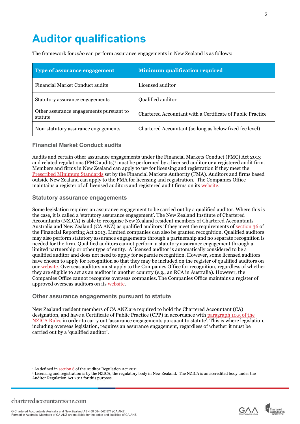# **Auditor qualifications**

The framework for *who* can perform assurance engagements in New Zealand is as follows:

| <b>Type of assurance engagement</b>                | <b>Minimum qualification required</b>                      |
|----------------------------------------------------|------------------------------------------------------------|
| Financial Market Conduct audits                    | Licensed auditor                                           |
| Statutory assurance engagements                    | Qualified auditor                                          |
| Other assurance engagements pursuant to<br>statute | Chartered Accountant with a Certificate of Public Practice |
| Non-statutory assurance engagements                | Chartered Accountant (so long as below fixed fee level)    |

# **Financial Market Conduct audits**

Audits and certain other assurance engagements under the Financial Markets Conduct (FMC) Act 2013 and related regulations (FMC audits)<sup>[1](#page-1-0)</sup> must be performed by a licensed auditor or a registered audit firm. Members and firms in New Zealand can apply to us<sup>[2](#page-1-1)</sup> for licensing and registration if they meet the [Prescribed Minimum Standards](https://www.fma.govt.nz/news-and-resources/reports-and-papers/ara-prescribed-minimum-standards-and-conditions/) set by the Financial Markets Authority (FMA). Auditors and firms based outside New Zealand can apply to the FMA for licensing and registration. The Companies Office maintains a register of all licensed auditors and registered audit firms on its [website](https://www.companiesoffice.govt.nz/all-registers/auditors/auditors-register/).

# **Statutory assurance engagements**

Some legislation requires an assurance engagement to be carried out by a qualified auditor. Where this is the case, it is called a 'statutory assurance engagement'. The New Zealand Institute of Chartered Accountants (NZICA) is able to recognise New Zealand resident members of Chartered Accountants Australia and New Zealand (CA ANZ) as qualified auditors if they meet the requirements of [section 36](http://www.legislation.govt.nz/act/public/2013/0101/latest/DLM4632946.html) of the Financial Reporting Act 2013. Limited companies can also be granted recognition. Qualified auditors may also perform statutory assurance engagements through a partnership and no separate recognition is needed for the firm. Qualified auditors cannot perform a statutory assurance engagement through a limited partnership or other type of entity. A licensed auditor is automatically considered to be a qualified auditor and does not need to apply for separate recognition. However, some licensed auditors have chosen to apply for recognition so that they may be included on the register of qualified auditors on our [website.](https://www.charteredaccountantsanz.com/find-a-ca/search-results-for-a-ca?country=New%20Zealand&selectedType=Qualified%20Auditor&postcode=new%20zealand&formType=specifications&limit=500&name=&business=) Overseas auditors must apply to the Companies Office for recognition, regardless of whether they are eligible to act as an auditor in another country (e.g., an RCA in Australia). However, the Companies Office cannot recognise overseas companies. The Companies Office maintains a register of approved overseas auditors on its [website](https://www.companiesoffice.govt.nz/all-registers/approved-overseas-auditors-and-associations-of-accountants/approved-overseas-auditors/).

### **Other assurance engagements pursuant to statute**

New Zealand resident members of CA ANZ are required to hold the Chartered Accountant (CA) designation, and have a Certificate of Public Practice (CPP) in accordance with [paragraph 10.5 of the](https://www.charteredaccountantsanz.com/-/media/a5b7058cb6e1467bb30894eb06bf83c3.ashx)  [NZICA Rules i](https://www.charteredaccountantsanz.com/-/media/a5b7058cb6e1467bb30894eb06bf83c3.ashx)n order to carry out 'assurance engagements pursuant to statute'. This is where legislation, including overseas legislation, requires an assurance engagement, regardless of whether it must be carried out by a 'qualified auditor'.



2



<span id="page-1-0"></span><sup>&</sup>lt;sup>1</sup> As defined in **section 6** of the Auditor Regulation Act 2011

<span id="page-1-1"></span><sup>&</sup>lt;sup>2</sup> Licensing and registration is by the NZICA, the regulatory body in New Zealand. The NZICA is an accredited body under the Auditor Regulation Act 2011 for this purpose.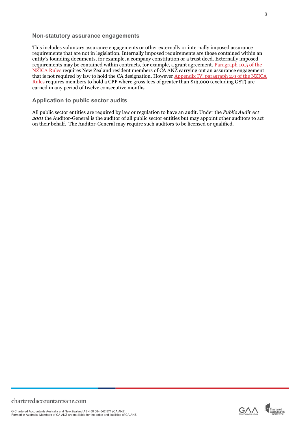### **Non-statutory assurance engagements**

This includes voluntary assurance engagements or other externally or internally imposed assurance requirements that are not in legislation. Internally imposed requirements are those contained within an entity's founding documents, for example, a company constitution or a trust deed. Externally imposed requirements may be contained within contracts, for example, a grant agreement. [Paragraph 10.5 of the](https://www.charteredaccountantsanz.com/-/media/a5b7058cb6e1467bb30894eb06bf83c3.ashx)  [NZICA Rules r](https://www.charteredaccountantsanz.com/-/media/a5b7058cb6e1467bb30894eb06bf83c3.ashx)equires New Zealand resident members of CA ANZ carrying out an assurance engagement that is not required by law to hold the CA designation. However [Appendix IV, paragraph 2.9 of the NZICA](https://www.charteredaccountantsanz.com/-/media/a5b7058cb6e1467bb30894eb06bf83c3.ashx)  [Rules r](https://www.charteredaccountantsanz.com/-/media/a5b7058cb6e1467bb30894eb06bf83c3.ashx)equires members to hold a CPP where gross fees of greater than \$13,000 (excluding GST) are earned in any period of twelve consecutive months.

### **Application to public sector audits**

All public sector entities are required by law or regulation to have an audit. Under the *Public Audit Act 2001* the Auditor-General is the auditor of all public sector entities but may appoint other auditors to act on their behalf. The Auditor-General may require such auditors to be licensed or qualified.



3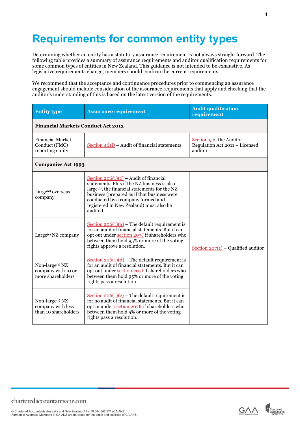# **Requirements for common entity types**

Determining whether an entity has a statutory assurance requirement is not always straight forward. The following table provides a summary of assurance requirements and auditor qualification requirements for some common types of entities in New Zealand. This guidance is not intended to be exhaustive. As legislative requirements change, members should confirm the current requirements.

We recommend that the acceptance and continuance procedures prior to commencing an assurance engagement should include consideration of the assurance requirements that apply and checking that the auditor's understanding of this is based on the latest version of the requirements.

| <b>Entity type</b>                                                     | <b>Assurance requirement</b>                                                                                                                                                                                                                                                                     | <b>Audit qualification</b><br>requirement                             |  |
|------------------------------------------------------------------------|--------------------------------------------------------------------------------------------------------------------------------------------------------------------------------------------------------------------------------------------------------------------------------------------------|-----------------------------------------------------------------------|--|
| <b>Financial Markets Conduct Act 2013</b>                              |                                                                                                                                                                                                                                                                                                  |                                                                       |  |
| <b>Financial Market</b><br>Conduct (FMC)<br>reporting entity           | Section $461D$ – Audit of financial statements                                                                                                                                                                                                                                                   | Section 9 of the Auditor<br>Regulation Act 2011 - Licensed<br>auditor |  |
| <b>Companies Act 1993</b>                                              |                                                                                                                                                                                                                                                                                                  |                                                                       |  |
| Large <sup>(a)</sup> overseas<br>company                               | Section $206(1)(c)$ – Audit of financial<br>statements. Plus if the NZ business is also<br>large <sup>(b)</sup> , the financial statements for the NZ<br>business (prepared as if that business were<br>conducted by a company formed and<br>registered in New Zealand) must also be<br>audited. |                                                                       |  |
| Large <sup>(c)</sup> NZ company                                        | Section $206(1)(a)$ – The default requirement is<br>for an audit of financial statements. But it can<br>opt out under section 207J if shareholders who<br>between them hold 95% or more of the voting<br>rights approve a resolution.                                                            | Section $207(1)$ – Qualified auditor                                  |  |
| Non-large <sup>(c)</sup> NZ<br>company with 10 or<br>more shareholders | Section $206(1)(d)$ – The default requirement is<br>for an audit of financial statements. But it can<br>opt out under section 207I if shareholders who<br>between them hold 95% or more of the voting<br>rights pass a resolution.                                                               |                                                                       |  |
| Non-large(c) NZ<br>company with less<br>than 10 shareholders           | Section $206(1)(e)$ – The default requirement is<br>for no audit of financial statements. But it can<br>opt in under section 207K if shareholders who<br>between them hold 5% or more of the voting<br>rights pass a resolution.                                                                 |                                                                       |  |





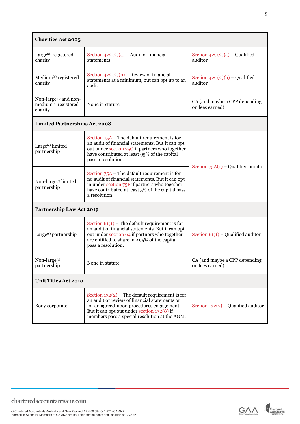| <b>Charities Act 2005</b>                                                        |                                                                                                                                                                                                                                                |                                                  |  |
|----------------------------------------------------------------------------------|------------------------------------------------------------------------------------------------------------------------------------------------------------------------------------------------------------------------------------------------|--------------------------------------------------|--|
| Large <sup>(d)</sup> registered<br>charity                                       | Section $42C(2)(a)$ – Audit of financial<br>statements                                                                                                                                                                                         | Section $42C(2)(a)$ – Qualified<br>auditor       |  |
| Medium <sup>(e)</sup> registered<br>charity                                      | Section $42C(2)(b)$ – Review of financial<br>statements at a minimum, but can opt up to an<br>audit                                                                                                                                            | Section $42C(2)(b)$ – Qualified<br>auditor       |  |
| Non-large <sup>(d)</sup> and non-<br>medium <sup>(e)</sup> registered<br>charity | None in statute                                                                                                                                                                                                                                | CA (and maybe a CPP depending<br>on fees earned) |  |
| <b>Limited Partnerships Act 2008</b>                                             |                                                                                                                                                                                                                                                |                                                  |  |
| Large <sup>(c)</sup> limited<br>partnership                                      | Section $75A$ – The default requirement is for<br>an audit of financial statements. But it can opt<br>out under section 75G if partners who together<br>have contributed at least 95% of the capital<br>pass a resolution.                     | Section $75A(1)$ – Qualified auditor             |  |
| Non-large <sup>(c)</sup> limited<br>partnership                                  | Section $75A$ – The default requirement is for<br>no audit of financial statements. But it can opt<br>in under section 75F if partners who together<br>have contributed at least 5% of the capital pass<br>a resolution.                       |                                                  |  |
| <b>Partnership Law Act 2019</b>                                                  |                                                                                                                                                                                                                                                |                                                  |  |
| Large $(c)$ partnership                                                          | Section $61(1)$ – The default requirement is for<br>an audit of financial statements. But it can opt<br>out under section 64 if partners who together<br>are entitled to share in $\geq 95\%$ of the capital<br>pass a resolution.             | Section $61(1)$ – Qualified auditor              |  |
| Non-large(c)<br>partnership                                                      | None in statute                                                                                                                                                                                                                                | CA (and maybe a CPP depending<br>on fees earned) |  |
| <b>Unit Titles Act 2010</b>                                                      |                                                                                                                                                                                                                                                |                                                  |  |
| Body corporate                                                                   | Section $132(2)$ – The default requirement is for<br>an audit or review of financial statements or<br>for an agreed-upon procedures engagement.<br>But it can opt out under section 132(8) if<br>members pass a special resolution at the AGM. | Section $132(7)$ – Qualified auditor             |  |



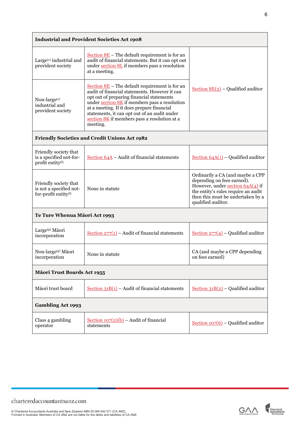| <b>Industrial and Provident Societies Act 1908</b>                               |                                                                                                                                                                                                                                                                                                                                                           |                                                                                                                                                                                                        |  |  |
|----------------------------------------------------------------------------------|-----------------------------------------------------------------------------------------------------------------------------------------------------------------------------------------------------------------------------------------------------------------------------------------------------------------------------------------------------------|--------------------------------------------------------------------------------------------------------------------------------------------------------------------------------------------------------|--|--|
| Large <sup>(c)</sup> industrial and<br>provident society                         | Section $8E$ – The default requirement is for an<br>audit of financial statements. But it can opt out<br>under section 8L if members pass a resolution<br>at a meeting.                                                                                                                                                                                   |                                                                                                                                                                                                        |  |  |
| Non-large(c)<br>industrial and<br>provident society                              | Section $8E$ – The default requirement is for an<br>audit of financial statements. However it can<br>opt out of preparing financial statements<br>under section 8K if members pass a resolution<br>at a meeting. If it does prepare financial<br>statements, it can opt out of an audit under<br>section 8K if members pass a resolution at a<br>meeting. | Section $8E(2)$ – Qualified auditor                                                                                                                                                                    |  |  |
| Friendly Societies and Credit Unions Act 1982                                    |                                                                                                                                                                                                                                                                                                                                                           |                                                                                                                                                                                                        |  |  |
| Friendly society that<br>is a specified not-for-<br>profit entity <sup>(f)</sup> | Section $64A$ – Audit of financial statements                                                                                                                                                                                                                                                                                                             | Section $64A(1)$ – Qualified auditor                                                                                                                                                                   |  |  |
| Friendly society that<br>is not a specified not-<br>for-profit entity(f)         | None in statute                                                                                                                                                                                                                                                                                                                                           | Ordinarily a CA (and maybe a CPP<br>depending on fees earned).<br>However, under section $64A(4)$ if<br>the entity's rules require an audit<br>then this must be undertaken by a<br>qualified auditor. |  |  |
| Te Ture Whenua Māori Act 1993                                                    |                                                                                                                                                                                                                                                                                                                                                           |                                                                                                                                                                                                        |  |  |
| Large <sup>(g)</sup> Māori<br>incorporation                                      | Section $277(1)$ – Audit of financial statements                                                                                                                                                                                                                                                                                                          | Section $277(4)$ – Qualified auditor                                                                                                                                                                   |  |  |
| Non-large <sup>(g)</sup> Māori<br>incorporation                                  | None in statute                                                                                                                                                                                                                                                                                                                                           | CA (and maybe a CPP depending<br>on fees earned)                                                                                                                                                       |  |  |
| Māori Trust Boards Act 1955                                                      |                                                                                                                                                                                                                                                                                                                                                           |                                                                                                                                                                                                        |  |  |
| Māori trust board                                                                | Section $31B(1)$ – Audit of financial statements                                                                                                                                                                                                                                                                                                          | Section $31B(2)$ – Qualified auditor                                                                                                                                                                   |  |  |
| <b>Gambling Act 1993</b>                                                         |                                                                                                                                                                                                                                                                                                                                                           |                                                                                                                                                                                                        |  |  |
| Class 4 gambling<br>operator                                                     | Section $107(2)(b)$ – Audit of financial<br>statements                                                                                                                                                                                                                                                                                                    | Section $107(6)$ – Qualified auditor                                                                                                                                                                   |  |  |





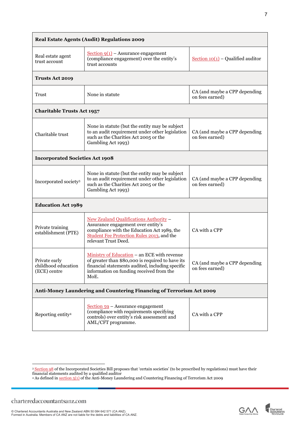| Real Estate Agents (Audit) Regulations 2009                          |                                                                                                                                                                                                         |                                                  |  |  |
|----------------------------------------------------------------------|---------------------------------------------------------------------------------------------------------------------------------------------------------------------------------------------------------|--------------------------------------------------|--|--|
| Real estate agent<br>trust account                                   | Section $9(1)$ – Assurance engagement<br>(compliance engagement) over the entity's<br>trust accounts                                                                                                    | Section $10(1)$ – Qualified auditor              |  |  |
| <b>Trusts Act 2019</b>                                               |                                                                                                                                                                                                         |                                                  |  |  |
| Trust                                                                | None in statute                                                                                                                                                                                         | CA (and maybe a CPP depending<br>on fees earned) |  |  |
| <b>Charitable Trusts Act 1957</b>                                    |                                                                                                                                                                                                         |                                                  |  |  |
| Charitable trust                                                     | None in statute (but the entity may be subject<br>to an audit requirement under other legislation<br>such as the Charities Act 2005 or the<br>Gambling Act 1993)                                        | CA (and maybe a CPP depending<br>on fees earned) |  |  |
| <b>Incorporated Societies Act 1908</b>                               |                                                                                                                                                                                                         |                                                  |  |  |
| Incorporated society <sup>3</sup>                                    | None in statute (but the entity may be subject<br>to an audit requirement under other legislation<br>such as the Charities Act 2005 or the<br>Gambling Act 1993)                                        | CA (and maybe a CPP depending<br>on fees earned) |  |  |
| <b>Education Act 1989</b>                                            |                                                                                                                                                                                                         |                                                  |  |  |
| Private training<br>establishment (PTE)                              | New Zealand Qualifications Authority -<br>Assurance engagement over entity's<br>compliance with the Education Act 1989, the<br>Student Fee Protection Rules 2013, and the<br>relevant Trust Deed.       | CA with a CPP                                    |  |  |
| Private early<br>childhood education<br>(ECE) centre                 | Ministry of Education - an ECE with revenue<br>of greater than \$80,000 is required to have its<br>financial statements audited, including specific<br>information on funding received from the<br>MoE. | CA (and maybe a CPP depending<br>on fees earned) |  |  |
| Anti-Money Laundering and Countering Financing of Terrorism Act 2009 |                                                                                                                                                                                                         |                                                  |  |  |
| Reporting entity <sup>4</sup>                                        | Section 59 - Assurance engagement<br>(compliance with requirements specifying<br>controls) over entity's risk assessment and<br>AML/CFT programme.                                                      | CA with a CPP                                    |  |  |



7

<span id="page-6-0"></span><sup>&</sup>lt;sup>3</sup> <u>Section 98</u> of the Incorporated Societies Bill proposes that 'certain societies' (to be prescribed by regulations) must have their financial statements audited by a qualified auditor

<span id="page-6-1"></span><sup>&</sup>lt;sup>4</sup> As defined in <u>section 5(1)</u> of the Anti-Money Laundering and Countering Financing of Terrorism Act 2009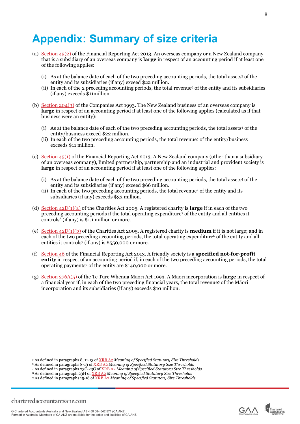# **Appendix: Summary of size criteria**

- (a) [Section 45\(2\)](http://www.legislation.govt.nz/act/public/2013/0101/latest/DLM5206501.html?search=sw_096be8ed80db6e81_overseas_25_se&p=1) of the Financial Reporting Act 2013. An overseas company or a New Zealand company that is a subsidiary of an overseas company is **large** in respect of an accounting period if at least one of the following applies:
	- (i) As at the balance date of each of the two preceding accounting periods, the total a[ssets](#page-7-0)<sup>5</sup> of the entity and its subsidiaries (if any) exceed \$22 million.
	- (ii) In each of the 2 preceding accounting periods, the total rev[enue](#page-7-1)<sup>6</sup> of the entity and its subsidiaries (if any) exceeds \$11million.
- (b) [Section 204\(3\)](http://www.legislation.govt.nz/act/public/1993/0105/latest/DLM320899.html) of the Companies Act 1993. The New Zealand business of an overseas company is **large** in respect of an accounting period if at least one of the following applies (calculated as if that business were an entity):
	- (i) As at the balance date of each of the two preceding accounting periods, the total assets4 of the entity/business exceed \$22 million.
	- (ii) In each of the two preceding accounting periods, the total revenue5 of the entity/business exceeds \$11 million.
- (c) [Section 45\(1\)](http://www.legislation.govt.nz/act/public/2013/0101/latest/DLM5206501.html?search=sw_096be8ed80db6e81_overseas_25_se&p=1) of the Financial Reporting Act 2013. A New Zealand company (other than a subsidiary of an overseas company), limited partnership, partnership and an industrial and provident society is **large** in respect of an accounting period if at least one of the following applies:
	- (i) As at the balance date of each of the two preceding accounting periods, the total assets<sup>4</sup> of the entity and its subsidiaries (if any) exceed \$66 million.
	- (ii) In each of the two preceding accounting periods, the total revenue5 of the entity and its subsidiaries (if any) exceeds \$33 million.
- (d) [Section 42D\(1\)\(a\)](http://www.legislation.govt.nz/act/public/2005/0039/latest/DLM6439444.html) of the Charities Act 2005. A registered charity is **large** if in each of the two preceding accounting periods if the total operating expend[iture](#page-7-2)<sup>7</sup> of the entity and all entities it con[trols](#page-7-3)8 (if any) is \$1.1 million or more.
- (e) [Section 42D\(1\)\(b\)](http://www.legislation.govt.nz/act/public/2005/0039/latest/DLM6439444.html) of the Charities Act 2005. A registered charity is **medium** if it is not large; and in each of the two preceding accounting periods, the total operating expenditure<sup>6</sup> of the entity and all entities it controls<sup>7</sup> (if any) is \$550,000 or more.
- (f) [Section 46](http://www.legislation.govt.nz/act/public/2013/0101/latest/DLM4632962.html) of the Financial Reporting Act 2013. A friendly society is a **specified not-for-profit entity** in respect of an accounting period if, in each of the two preceding accounting periods, the total operating paym[ents](#page-7-4)9 of the entity are \$140,000 or more.
- (g) [Section 276A\(5\)](http://www.legislation.govt.nz/act/public/1993/0004/latest/DLM6044133.html) of the Te Ture Whenua Māori Act 1993. A Māori incorporation is **large** in respect of a financial year if, in each of the two preceding financial years, the total revenue<sup>5</sup> of the Māori incorporation and its subsidiaries (if any) exceeds \$10 million.





<span id="page-7-0"></span><sup>5</sup> As defined in paragraphs 8, 11-13 of XRB A2 *Meaning of Specified Statutory Size Thresholds*

<span id="page-7-1"></span><sup>6</sup> As defined in paragraphs 8-13 of XRB A2 *Meaning of Specified Statutory Size Thresholds*

<span id="page-7-2"></span><sup>7</sup> As defined in paragraphs 23C-23G of XRB A2 *Meaning of Specified Statutory Size Thresholds*

<span id="page-7-3"></span><sup>8</sup> As defined in paragraph 23H of XRB A2 *Meaning of Specified Statutory Size Thresholds*

<span id="page-7-4"></span><sup>9</sup> As defined in paragraphs 15-16 of XRB A2 *Meaning of Specified Statutory Size Thresholds*